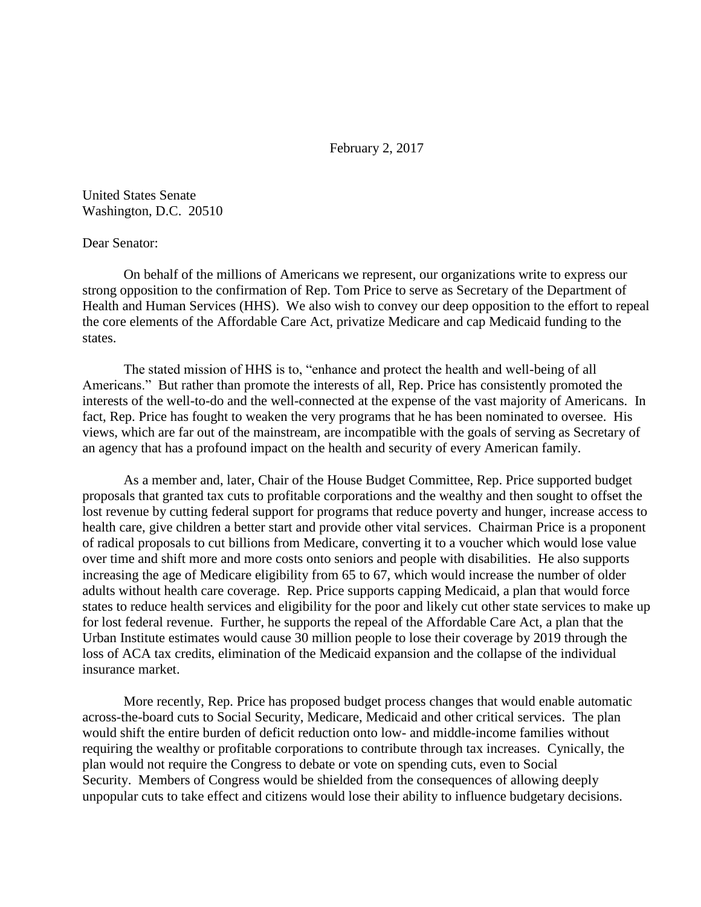February 2, 2017

United States Senate Washington, D.C. 20510

## Dear Senator:

On behalf of the millions of Americans we represent, our organizations write to express our strong opposition to the confirmation of Rep. Tom Price to serve as Secretary of the Department of Health and Human Services (HHS). We also wish to convey our deep opposition to the effort to repeal the core elements of the Affordable Care Act, privatize Medicare and cap Medicaid funding to the states.

The stated mission of HHS is to, "enhance and protect the health and well-being of all Americans." But rather than promote the interests of all, Rep. Price has consistently promoted the interests of the well-to-do and the well-connected at the expense of the vast majority of Americans. In fact, Rep. Price has fought to weaken the very programs that he has been nominated to oversee. His views, which are far out of the mainstream, are incompatible with the goals of serving as Secretary of an agency that has a profound impact on the health and security of every American family.

As a member and, later, Chair of the House Budget Committee, Rep. Price supported budget proposals that granted tax cuts to profitable corporations and the wealthy and then sought to offset the lost revenue by cutting federal support for programs that reduce poverty and hunger, increase access to health care, give children a better start and provide other vital services. Chairman Price is a proponent of radical proposals to cut billions from Medicare, converting it to a voucher which would lose value over time and shift more and more costs onto seniors and people with disabilities. He also supports increasing the age of Medicare eligibility from 65 to 67, which would increase the number of older adults without health care coverage. Rep. Price supports capping Medicaid, a plan that would force states to reduce health services and eligibility for the poor and likely cut other state services to make up for lost federal revenue. Further, he supports the repeal of the Affordable Care Act, a plan that the Urban Institute estimates would cause 30 million people to lose their coverage by 2019 through the loss of ACA tax credits, elimination of the Medicaid expansion and the collapse of the individual insurance market.

More recently, Rep. Price has proposed budget process changes that would enable automatic across-the-board cuts to Social Security, Medicare, Medicaid and other critical services. The plan would shift the entire burden of deficit reduction onto low- and middle-income families without requiring the wealthy or profitable corporations to contribute through tax increases. Cynically, the plan would not require the Congress to debate or vote on spending cuts, even to Social Security. Members of Congress would be shielded from the consequences of allowing deeply unpopular cuts to take effect and citizens would lose their ability to influence budgetary decisions.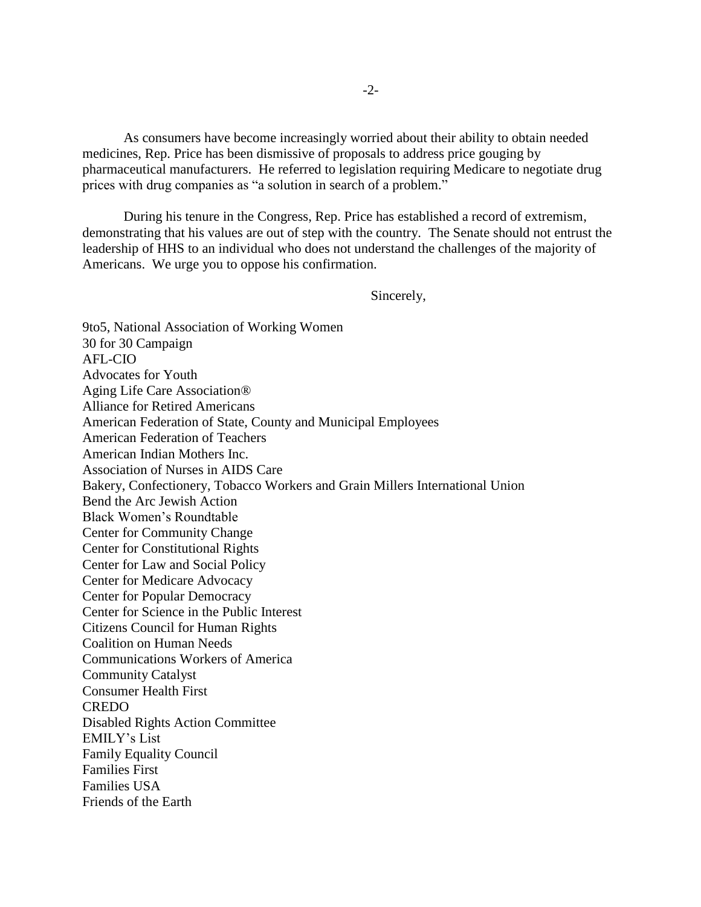As consumers have become increasingly worried about their ability to obtain needed medicines, Rep. Price has been dismissive of proposals to address price gouging by pharmaceutical manufacturers. He referred to legislation requiring Medicare to negotiate drug prices with drug companies as "a solution in search of a problem."

During his tenure in the Congress, Rep. Price has established a record of extremism, demonstrating that his values are out of step with the country. The Senate should not entrust the leadership of HHS to an individual who does not understand the challenges of the majority of Americans. We urge you to oppose his confirmation.

Sincerely,

9to5, National Association of Working Women 30 for 30 Campaign AFL-CIO Advocates for Youth Aging Life Care Association® Alliance for Retired Americans American Federation of State, County and Municipal Employees American Federation of Teachers American Indian Mothers Inc. Association of Nurses in AIDS Care Bakery, Confectionery, Tobacco Workers and Grain Millers International Union Bend the Arc Jewish Action Black Women's Roundtable Center for Community Change Center for Constitutional Rights Center for Law and Social Policy Center for Medicare Advocacy Center for Popular Democracy Center for Science in the Public Interest Citizens Council for Human Rights Coalition on Human Needs Communications Workers of America Community Catalyst Consumer Health First **CREDO** Disabled Rights Action Committee EMILY's List Family Equality Council Families First Families USA Friends of the Earth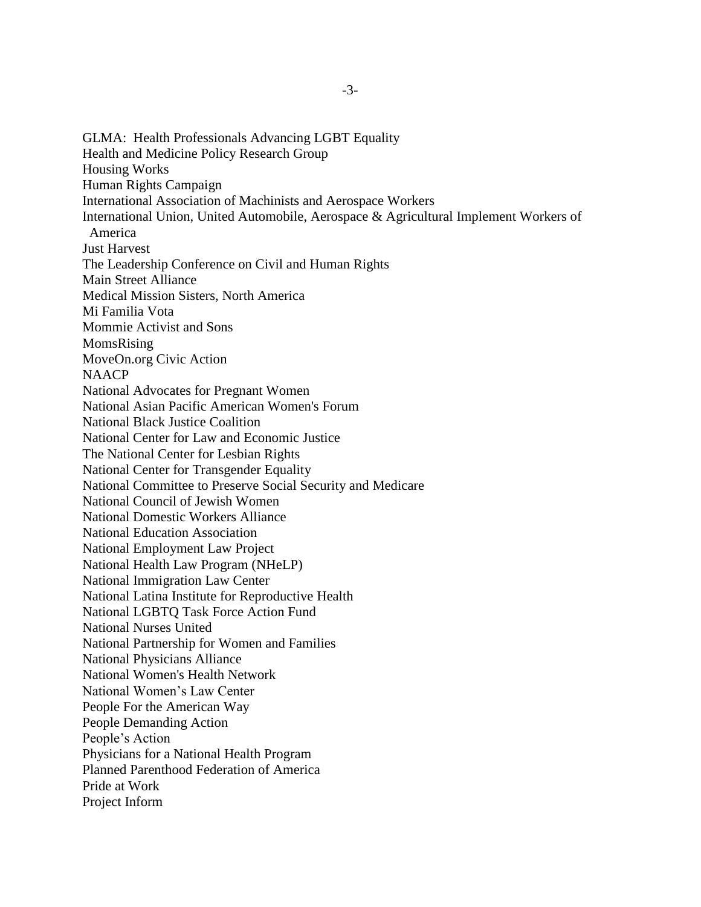GLMA: Health Professionals Advancing LGBT Equality Health and Medicine Policy Research Group Housing Works Human Rights Campaign International Association of Machinists and Aerospace Workers International Union, United Automobile, Aerospace & Agricultural Implement Workers of America Just Harvest The Leadership Conference on Civil and Human Rights Main Street Alliance Medical Mission Sisters, North America Mi Familia Vota Mommie Activist and Sons MomsRising MoveOn.org Civic Action NAACP National Advocates for Pregnant Women National Asian Pacific American Women's Forum National Black Justice Coalition National Center for Law and Economic Justice The National Center for Lesbian Rights National Center for Transgender Equality National Committee to Preserve Social Security and Medicare National Council of Jewish Women National Domestic Workers Alliance National Education Association National Employment Law Project National Health Law Program (NHeLP) National Immigration Law Center National Latina Institute for Reproductive Health National LGBTQ Task Force Action Fund National Nurses United National Partnership for Women and Families National Physicians Alliance National Women's Health Network National Women's Law Center People For the American Way People Demanding Action People's Action Physicians for a National Health Program Planned Parenthood Federation of America Pride at Work Project Inform